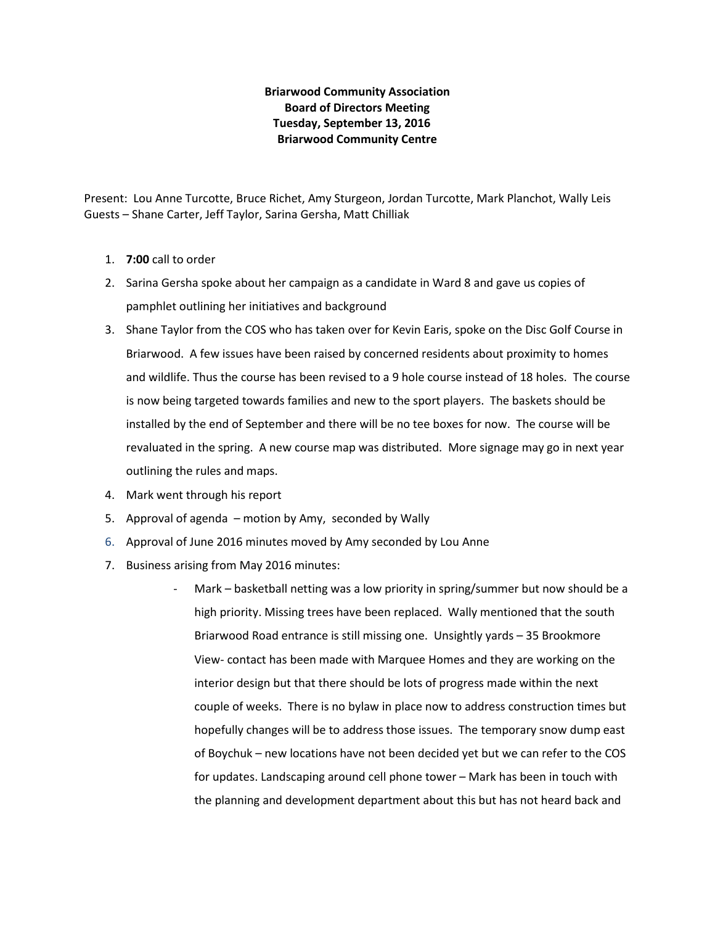## **Briarwood Community Association Board of Directors Meeting Tuesday, September 13, 2016 Briarwood Community Centre**

Present: Lou Anne Turcotte, Bruce Richet, Amy Sturgeon, Jordan Turcotte, Mark Planchot, Wally Leis Guests – Shane Carter, Jeff Taylor, Sarina Gersha, Matt Chilliak

- 1. **7:00** call to order
- 2. Sarina Gersha spoke about her campaign as a candidate in Ward 8 and gave us copies of pamphlet outlining her initiatives and background
- 3. Shane Taylor from the COS who has taken over for Kevin Earis, spoke on the Disc Golf Course in Briarwood. A few issues have been raised by concerned residents about proximity to homes and wildlife. Thus the course has been revised to a 9 hole course instead of 18 holes. The course is now being targeted towards families and new to the sport players. The baskets should be installed by the end of September and there will be no tee boxes for now. The course will be revaluated in the spring. A new course map was distributed. More signage may go in next year outlining the rules and maps.
- 4. Mark went through his report
- 5. Approval of agenda motion by Amy, seconded by Wally
- 6. Approval of June 2016 minutes moved by Amy seconded by Lou Anne
- 7. Business arising from May 2016 minutes:
	- Mark basketball netting was a low priority in spring/summer but now should be a high priority. Missing trees have been replaced. Wally mentioned that the south Briarwood Road entrance is still missing one. Unsightly yards – 35 Brookmore View- contact has been made with Marquee Homes and they are working on the interior design but that there should be lots of progress made within the next couple of weeks. There is no bylaw in place now to address construction times but hopefully changes will be to address those issues. The temporary snow dump east of Boychuk – new locations have not been decided yet but we can refer to the COS for updates. Landscaping around cell phone tower – Mark has been in touch with the planning and development department about this but has not heard back and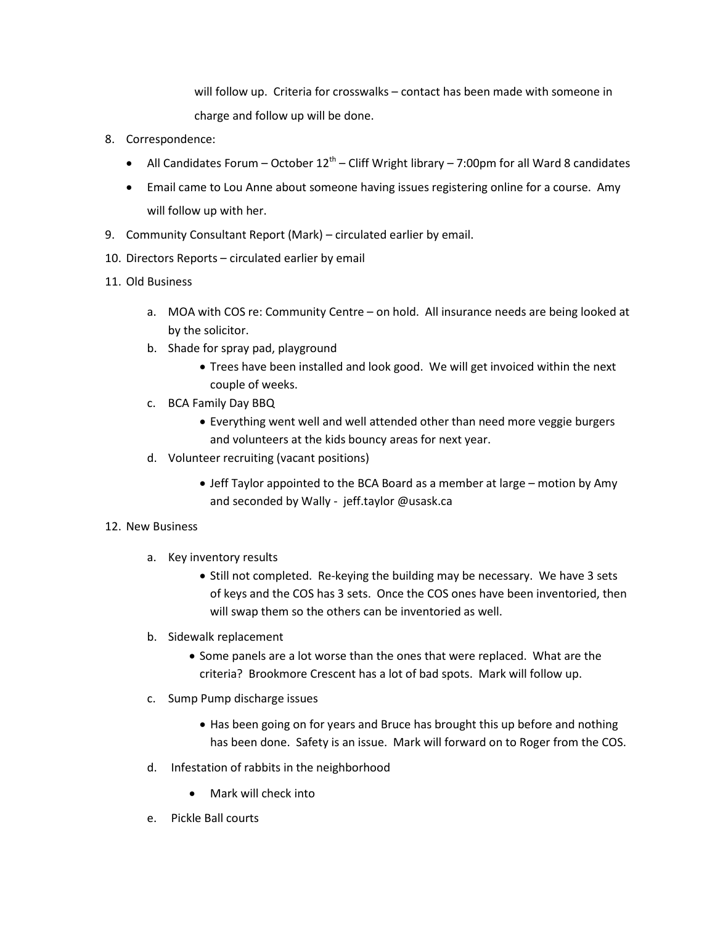will follow up. Criteria for crosswalks – contact has been made with someone in charge and follow up will be done.

- 8. Correspondence:
	- All Candidates Forum October  $12<sup>th</sup>$  Cliff Wright library 7:00pm for all Ward 8 candidates
	- Email came to Lou Anne about someone having issues registering online for a course. Amy will follow up with her.
- 9. Community Consultant Report (Mark) circulated earlier by email.
- 10. Directors Reports circulated earlier by email
- 11. Old Business
	- a. MOA with COS re: Community Centre on hold. All insurance needs are being looked at by the solicitor.
	- b. Shade for spray pad, playground
		- Trees have been installed and look good. We will get invoiced within the next couple of weeks.
	- c. BCA Family Day BBQ
		- Everything went well and well attended other than need more veggie burgers and volunteers at the kids bouncy areas for next year.
	- d. Volunteer recruiting (vacant positions)
		- Jeff Taylor appointed to the BCA Board as a member at large motion by Amy and seconded by Wally - jeff.taylor @usask.ca

## 12. New Business

- a. Key inventory results
	- Still not completed. Re-keying the building may be necessary. We have 3 sets of keys and the COS has 3 sets. Once the COS ones have been inventoried, then will swap them so the others can be inventoried as well.
- b. Sidewalk replacement
	- Some panels are a lot worse than the ones that were replaced. What are the criteria? Brookmore Crescent has a lot of bad spots. Mark will follow up.
- c. Sump Pump discharge issues
	- Has been going on for years and Bruce has brought this up before and nothing has been done. Safety is an issue. Mark will forward on to Roger from the COS.
- d. Infestation of rabbits in the neighborhood
	- Mark will check into
- e. Pickle Ball courts